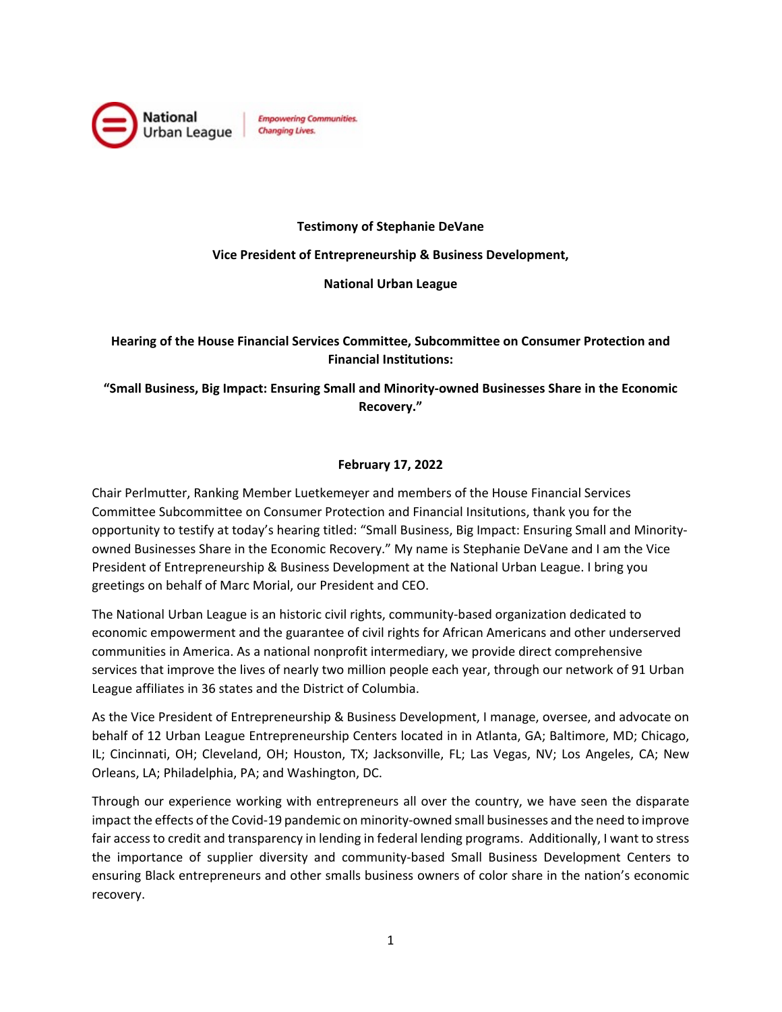

#### **Testimony of Stephanie DeVane**

#### **Vice President of Entrepreneurship & Business Development,**

#### **National Urban League**

## **Hearing of the House Financial Services Committee, Subcommittee on Consumer Protection and Financial Institutions:**

## **"Small Business, Big Impact: Ensuring Small and Minority-owned Businesses Share in the Economic Recovery."**

### **February 17, 2022**

Chair Perlmutter, Ranking Member Luetkemeyer and members of the House Financial Services Committee Subcommittee on Consumer Protection and Financial Insitutions, thank you for the opportunity to testify at today's hearing titled: "Small Business, Big Impact: Ensuring Small and Minorityowned Businesses Share in the Economic Recovery." My name is Stephanie DeVane and I am the Vice President of Entrepreneurship & Business Development at the National Urban League. I bring you greetings on behalf of Marc Morial, our President and CEO.

The National Urban League is an historic civil rights, community-based organization dedicated to economic empowerment and the guarantee of civil rights for African Americans and other underserved communities in America. As a national nonprofit intermediary, we provide direct comprehensive services that improve the lives of nearly two million people each year, through our network of 91 Urban League affiliates in 36 states and the District of Columbia.

As the Vice President of Entrepreneurship & Business Development, I manage, oversee, and advocate on behalf of 12 Urban League Entrepreneurship Centers located in in Atlanta, GA; Baltimore, MD; Chicago, IL; Cincinnati, OH; Cleveland, OH; Houston, TX; Jacksonville, FL; Las Vegas, NV; Los Angeles, CA; New Orleans, LA; Philadelphia, PA; and Washington, DC.

Through our experience working with entrepreneurs all over the country, we have seen the disparate impact the effects of the Covid-19 pandemic on minority-owned small businesses and the need to improve fair access to credit and transparency in lending in federal lending programs. Additionally, I want to stress the importance of supplier diversity and community-based Small Business Development Centers to ensuring Black entrepreneurs and other smalls business owners of color share in the nation's economic recovery.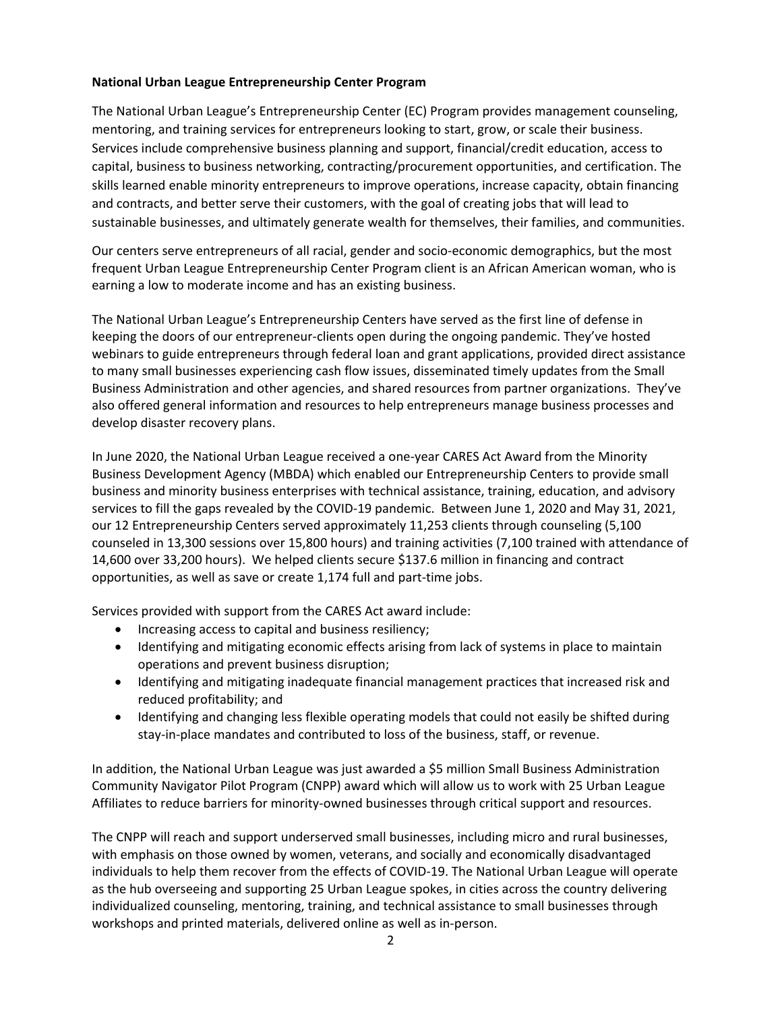### **National Urban League Entrepreneurship Center Program**

The National Urban League's Entrepreneurship Center (EC) Program provides management counseling, mentoring, and training services for entrepreneurs looking to start, grow, or scale their business. Services include comprehensive business planning and support, financial/credit education, access to capital, business to business networking, contracting/procurement opportunities, and certification. The skills learned enable minority entrepreneurs to improve operations, increase capacity, obtain financing and contracts, and better serve their customers, with the goal of creating jobs that will lead to sustainable businesses, and ultimately generate wealth for themselves, their families, and communities.

Our centers serve entrepreneurs of all racial, gender and socio-economic demographics, but the most frequent Urban League Entrepreneurship Center Program client is an African American woman, who is earning a low to moderate income and has an existing business.

The National Urban League's Entrepreneurship Centers have served as the first line of defense in keeping the doors of our entrepreneur-clients open during the ongoing pandemic. They've hosted webinars to guide entrepreneurs through federal loan and grant applications, provided direct assistance to many small businesses experiencing cash flow issues, disseminated timely updates from the Small Business Administration and other agencies, and shared resources from partner organizations. They've also offered general information and resources to help entrepreneurs manage business processes and develop disaster recovery plans.

In June 2020, the National Urban League received a one-year CARES Act Award from the Minority Business Development Agency (MBDA) which enabled our Entrepreneurship Centers to provide small business and minority business enterprises with technical assistance, training, education, and advisory services to fill the gaps revealed by the COVID-19 pandemic. Between June 1, 2020 and May 31, 2021, our 12 Entrepreneurship Centers served approximately 11,253 clients through counseling (5,100 counseled in 13,300 sessions over 15,800 hours) and training activities (7,100 trained with attendance of 14,600 over 33,200 hours). We helped clients secure \$137.6 million in financing and contract opportunities, as well as save or create 1,174 full and part-time jobs.

Services provided with support from the CARES Act award include:

- Increasing access to capital and business resiliency;
- Identifying and mitigating economic effects arising from lack of systems in place to maintain operations and prevent business disruption;
- Identifying and mitigating inadequate financial management practices that increased risk and reduced profitability; and
- Identifying and changing less flexible operating models that could not easily be shifted during stay-in-place mandates and contributed to loss of the business, staff, or revenue.

In addition, the National Urban League was just awarded a \$5 million Small Business Administration Community Navigator Pilot Program (CNPP) award which will allow us to work with 25 Urban League Affiliates to reduce barriers for minority-owned businesses through critical support and resources.

The CNPP will reach and support underserved small businesses, including micro and rural businesses, with emphasis on those owned by women, veterans, and socially and economically disadvantaged individuals to help them recover from the effects of COVID-19. The National Urban League will operate as the hub overseeing and supporting 25 Urban League spokes, in cities across the country delivering individualized counseling, mentoring, training, and technical assistance to small businesses through workshops and printed materials, delivered online as well as in-person.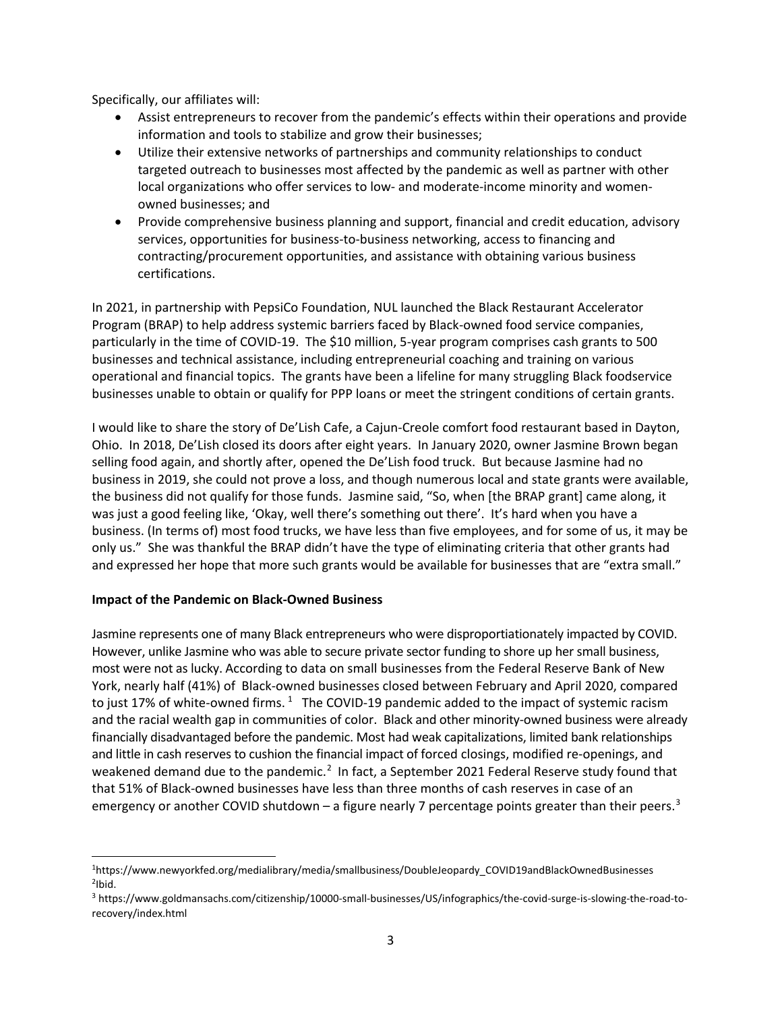Specifically, our affiliates will:

- Assist entrepreneurs to recover from the pandemic's effects within their operations and provide information and tools to stabilize and grow their businesses;
- Utilize their extensive networks of partnerships and community relationships to conduct targeted outreach to businesses most affected by the pandemic as well as partner with other local organizations who offer services to low- and moderate-income minority and womenowned businesses; and
- Provide comprehensive business planning and support, financial and credit education, advisory services, opportunities for business-to-business networking, access to financing and contracting/procurement opportunities, and assistance with obtaining various business certifications.

In 2021, in partnership with PepsiCo Foundation, NUL launched the Black Restaurant Accelerator Program (BRAP) to help address systemic barriers faced by Black-owned food service companies, particularly in the time of COVID-19. The \$10 million, 5-year program comprises cash grants to 500 businesses and technical assistance, including entrepreneurial coaching and training on various operational and financial topics. The grants have been a lifeline for many struggling Black foodservice businesses unable to obtain or qualify for PPP loans or meet the stringent conditions of certain grants.

I would like to share the story of De'Lish Cafe, a Cajun-Creole comfort food restaurant based in Dayton, Ohio. In 2018, De'Lish closed its doors after eight years. In January 2020, owner Jasmine Brown began selling food again, and shortly after, opened the De'Lish food truck. But because Jasmine had no business in 2019, she could not prove a loss, and though numerous local and state grants were available, the business did not qualify for those funds. Jasmine said, "So, when [the BRAP grant] came along, it was just a good feeling like, 'Okay, well there's something out there'. It's hard when you have a business. (In terms of) most food trucks, we have less than five employees, and for some of us, it may be only us." She was thankful the BRAP didn't have the type of eliminating criteria that other grants had and expressed her hope that more such grants would be available for businesses that are "extra small."

### **Impact of the Pandemic on Black-Owned Business**

Jasmine represents one of many Black entrepreneurs who were disproportiationately impacted by COVID. However, unlike Jasmine who was able to secure private sector funding to shore up her small business, most were not as lucky. According to data on small businesses from the Federal Reserve Bank of New York, nearly half (41%) of Black-owned businesses closed between February and April 2020, compared to just [1](#page-2-0)7% of white-owned firms.  $1$  The COVID-19 pandemic added to the impact of systemic racism and the racial wealth gap in communities of color. Black and other minority-owned business were already financially disadvantaged before the pandemic. Most had weak capitalizations, limited bank relationships and little in cash reserves to cushion the financial impact of forced closings, modified re-openings, and weakened demand due to the pandemic.<sup>[2](#page-2-1)</sup> In fact, a September 2021 Federal Reserve study found that that 51% of Black-owned businesses have less than three months of cash reserves in case of an emergency or another COVID shutdown – a figure nearly 7 percentage points greater than their peers.<sup>[3](#page-2-2)</sup>

<span id="page-2-1"></span><span id="page-2-0"></span><sup>1</sup>https://www.newyorkfed.org/medialibrary/media/smallbusiness/DoubleJeopardy\_COVID19andBlackOwnedBusinesses 2Ibid.

<span id="page-2-2"></span><sup>3</sup> [https://www.goldmansachs.com/citizenship/10000-small-businesses/US/infographics/the-covid-surge-is-slowing-the-road-to](https://www.goldmansachs.com/citizenship/10000-small-businesses/US/infographics/the-covid-surge-is-slowing-the-road-to-recovery/index.html)[recovery/index.html](https://www.goldmansachs.com/citizenship/10000-small-businesses/US/infographics/the-covid-surge-is-slowing-the-road-to-recovery/index.html)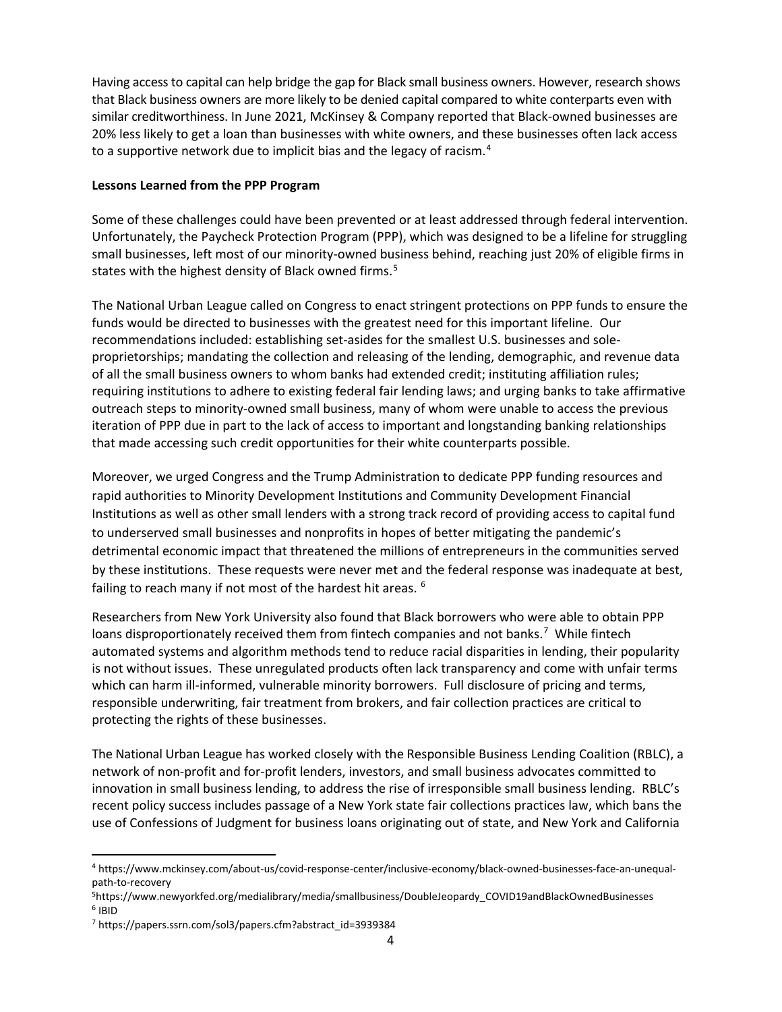Having access to capital can help bridge the gap for Black small business owners. However, research shows that Black business owners are more likely to be denied capital compared to white conterparts even with similar creditworthiness. In June 2021, McKinsey & Company reported that [Black-owned businesses are](https://www.mckinsey.com/about-us/covid-response-center/inclusive-economy/black-owned-businesses-face-an-unequal-path-to-recovery)  [20% less likely to get a loan than businesses with white owners,](https://www.mckinsey.com/about-us/covid-response-center/inclusive-economy/black-owned-businesses-face-an-unequal-path-to-recovery) and these businesses often lack access to a supportive network due to implicit bias and the legacy of racism.<sup>[4](#page-3-0)</sup>

### **Lessons Learned from the PPP Program**

Some of these challenges could have been prevented or at least addressed through federal intervention. Unfortunately, the Paycheck Protection Program (PPP), which was designed to be a lifeline for struggling small businesses, left most of our minority-owned business behind, reaching jus[t 20% of eligible firms in](https://www.newyorkfed.org/medialibrary/media/smallbusiness/DoubleJeopardy_COVID19andBlackOwnedBusinesses)  [states](https://www.newyorkfed.org/medialibrary/media/smallbusiness/DoubleJeopardy_COVID19andBlackOwnedBusinesses) with the highest density of Black owned firms.<sup>[5](#page-3-1)</sup>

The National Urban League called on Congress to enact stringent protections on PPP funds to ensure the funds would be directed to businesses with the greatest need for this important lifeline. Our recommendations included: establishing set-asides for the smallest U.S. businesses and soleproprietorships; mandating the collection and releasing of the lending, demographic, and revenue data of all the small business owners to whom banks had extended credit; instituting affiliation rules; requiring institutions to adhere to existing federal fair lending laws; and urging banks to take affirmative outreach steps to minority-owned small business, many of whom were unable to access the previous iteration of PPP due in part to the lack of access to important and longstanding banking relationships that made accessing such credit opportunities for their white counterparts possible.

Moreover, we urged Congress and the Trump Administration to dedicate PPP funding resources and rapid authorities to Minority Development Institutions and Community Development Financial Institutions as well as other small lenders with a strong track record of providing access to capital fund to underserved small businesses and nonprofits in hopes of better mitigating the pandemic's detrimental economic impact that threatened the millions of entrepreneurs in the communities served by these institutions. These requests were never met and the federal response was inadequate at best, failing to reach many if not most of the hardest hit areas. <sup>[6](#page-3-2)</sup>

Researchers from New York University also found that Black borrowers who were able to obtain PPP loans disproportionately received them from fintech companies and not banks.<sup>[7](#page-3-3)</sup> While fintech automated systems and algorithm methods tend to reduce racial disparities in lending, their popularity is not without issues. These unregulated products often lack transparency and come with unfair terms which can harm ill-informed, vulnerable minority borrowers. Full disclosure of pricing and terms, responsible underwriting, fair treatment from brokers, and fair collection practices are critical to protecting the rights of these businesses.

The National Urban League has worked closely with the Responsible Business Lending Coalition (RBLC), a network of non-profit and for-profit lenders, investors, and small business advocates committed to innovation in small business lending, to address the rise of irresponsible small business lending. RBLC's recent policy success includes passage of a New York state fair collections practices law, which bans the use of Confessions of Judgment for business loans originating out of state, and New York and California

<span id="page-3-0"></span><sup>4</sup> https://www.mckinsey.com/about-us/covid-response-center/inclusive-economy/black-owned-businesses-face-an-unequalpath-to-recovery

<span id="page-3-2"></span><span id="page-3-1"></span><sup>5</sup>https://www.newyorkfed.org/medialibrary/media/smallbusiness/DoubleJeopardy\_COVID19andBlackOwnedBusinesses <sup>6</sup> IBID

<span id="page-3-3"></span><sup>7</sup> https://papers.ssrn.com/sol3/papers.cfm?abstract\_id=3939384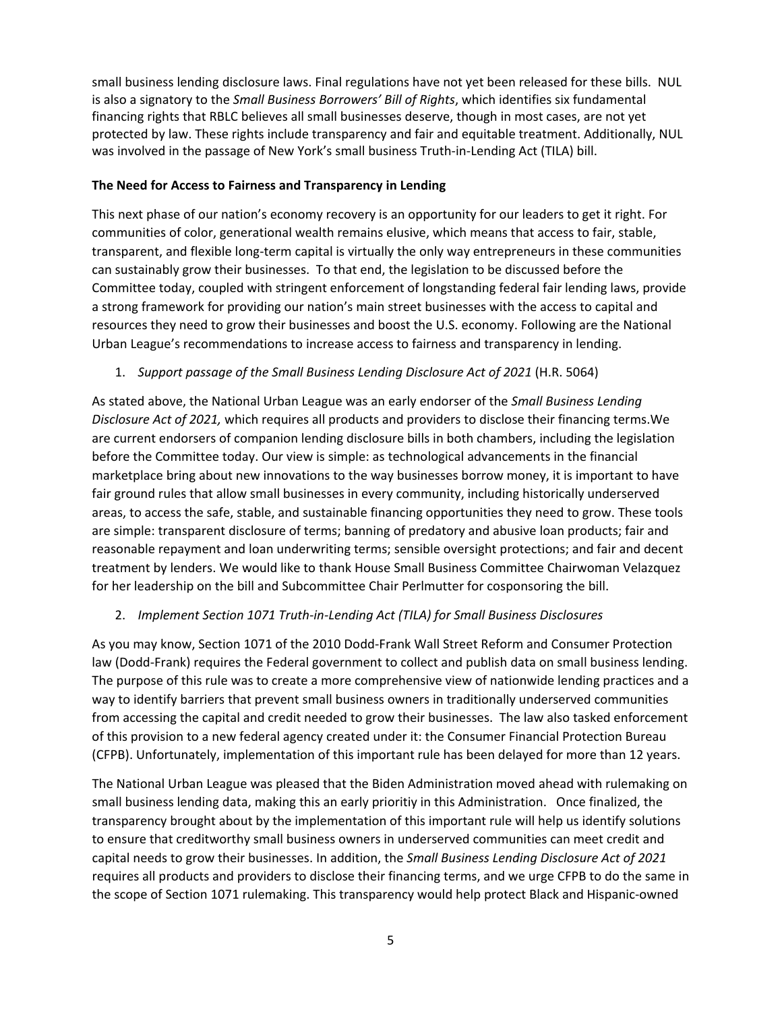small business lending disclosure laws. Final regulations have not yet been released for these bills. NUL is also a signatory to the *Small Business Borrowers' Bill of Rights*, which identifies six fundamental financing rights that RBLC believes all small businesses deserve, though in most cases, are not yet protected by law. These rights include transparency and fair and equitable treatment. Additionally, NUL was involved in the passage of New York's small business Truth-in-Lending Act (TILA) bill.

### **The Need for Access to Fairness and Transparency in Lending**

This next phase of our nation's economy recovery is an opportunity for our leaders to get it right. For communities of color, generational wealth remains elusive, which means that access to fair, stable, transparent, and flexible long-term capital is virtually the only way entrepreneurs in these communities can sustainably grow their businesses. To that end, the legislation to be discussed before the Committee today, coupled with stringent enforcement of longstanding federal fair lending laws, provide a strong framework for providing our nation's main street businesses with the access to capital and resources they need to grow their businesses and boost the U.S. economy. Following are the National Urban League's recommendations to increase access to fairness and transparency in lending.

# 1. *Support passage of the Small Business Lending Disclosure Act of 2021* (H.R. 5064)

As stated above, the National Urban League was an early endorser of the *Small Business Lending Disclosure Act of 2021,* which requires all products and providers to disclose their financing terms.We are current endorsers of companion lending disclosure bills in both chambers, including the legislation before the Committee today. Our view is simple: as technological advancements in the financial marketplace bring about new innovations to the way businesses borrow money, it is important to have fair ground rules that allow small businesses in every community, including historically underserved areas, to access the safe, stable, and sustainable financing opportunities they need to grow. These tools are simple: transparent disclosure of terms; banning of predatory and abusive loan products; fair and reasonable repayment and loan underwriting terms; sensible oversight protections; and fair and decent treatment by lenders. We would like to thank House Small Business Committee Chairwoman Velazquez for her leadership on the bill and Subcommittee Chair Perlmutter for cosponsoring the bill.

## 2. *Implement Section 1071 Truth-in-Lending Act (TILA) for Small Business Disclosures*

As you may know, Section 1071 of the 2010 Dodd-Frank Wall Street Reform and Consumer Protection law (Dodd-Frank) requires the Federal government to collect and publish data on small business lending. The purpose of this rule was to create a more comprehensive view of nationwide lending practices and a way to identify barriers that prevent small business owners in traditionally underserved communities from accessing the capital and credit needed to grow their businesses. The law also tasked enforcement of this provision to a new federal agency created under it: the Consumer Financial Protection Bureau (CFPB). Unfortunately, implementation of this important rule has been delayed for more than 12 years.

The National Urban League was pleased that the Biden Administration moved ahead with rulemaking on small business lending data, making this an early prioritiy in this Administration. Once finalized, the transparency brought about by the implementation of this important rule will help us identify solutions to ensure that creditworthy small business owners in underserved communities can meet credit and capital needs to grow their businesses. In addition, the *Small Business Lending Disclosure Act of 2021*  requires all products and providers to disclose their financing terms, and we urge CFPB to do the same in the scope of Section 1071 rulemaking. This transparency would help protect Black and Hispanic-owned